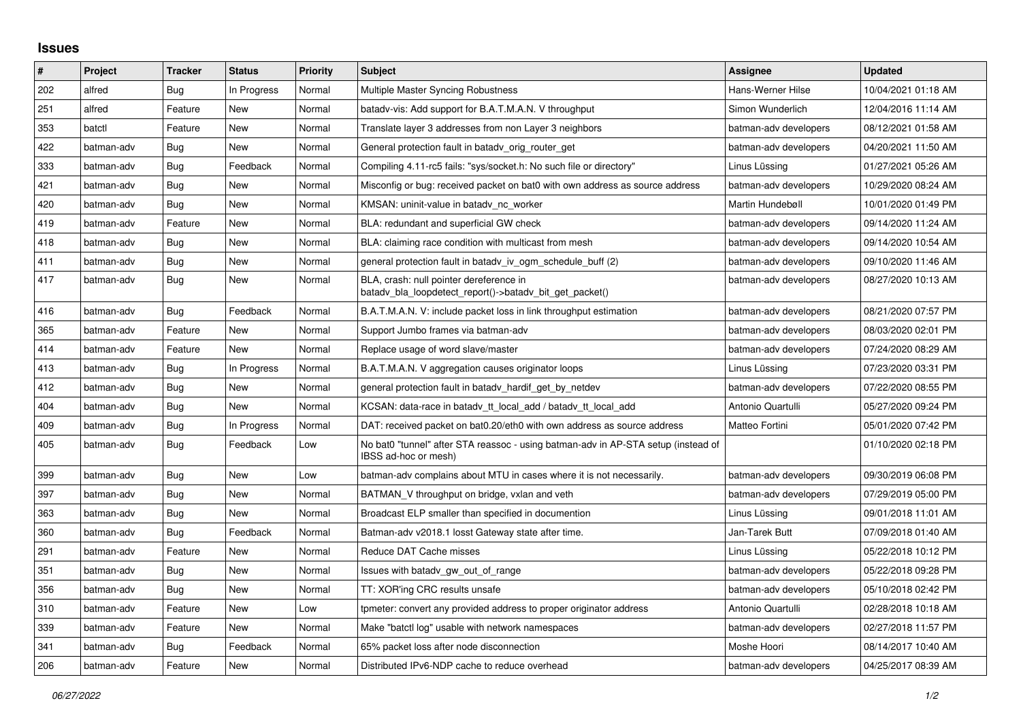## **Issues**

| $\vert$ # | Project    | <b>Tracker</b> | <b>Status</b> | Priority | <b>Subject</b>                                                                                            | <b>Assignee</b>       | <b>Updated</b>      |
|-----------|------------|----------------|---------------|----------|-----------------------------------------------------------------------------------------------------------|-----------------------|---------------------|
| 202       | alfred     | Bug            | In Progress   | Normal   | Multiple Master Syncing Robustness                                                                        | Hans-Werner Hilse     | 10/04/2021 01:18 AM |
| 251       | alfred     | Feature        | New           | Normal   | batady-vis: Add support for B.A.T.M.A.N. V throughput                                                     | Simon Wunderlich      | 12/04/2016 11:14 AM |
| 353       | batctl     | Feature        | New           | Normal   | Translate layer 3 addresses from non Layer 3 neighbors                                                    | batman-adv developers | 08/12/2021 01:58 AM |
| 422       | batman-adv | <b>Bug</b>     | New           | Normal   | General protection fault in batady_orig_router_get                                                        | batman-adv developers | 04/20/2021 11:50 AM |
| 333       | batman-adv | <b>Bug</b>     | Feedback      | Normal   | Compiling 4.11-rc5 fails: "sys/socket.h: No such file or directory"                                       | Linus Lüssing         | 01/27/2021 05:26 AM |
| 421       | batman-adv | <b>Bug</b>     | New           | Normal   | Misconfig or bug: received packet on bat0 with own address as source address                              | batman-adv developers | 10/29/2020 08:24 AM |
| 420       | batman-adv | Bug            | New           | Normal   | KMSAN: uninit-value in batady nc worker                                                                   | Martin Hundebøll      | 10/01/2020 01:49 PM |
| 419       | batman-adv | Feature        | <b>New</b>    | Normal   | BLA: redundant and superficial GW check                                                                   | batman-adv developers | 09/14/2020 11:24 AM |
| 418       | batman-adv | Bug            | New           | Normal   | BLA: claiming race condition with multicast from mesh                                                     | batman-adv developers | 09/14/2020 10:54 AM |
| 411       | batman-adv | Bug            | <b>New</b>    | Normal   | general protection fault in batady iv ogm_schedule_buff (2)                                               | batman-adv developers | 09/10/2020 11:46 AM |
| 417       | batman-adv | <b>Bug</b>     | New           | Normal   | BLA, crash: null pointer dereference in<br>batady bla loopdetect report()->batady bit get packet()        | batman-adv developers | 08/27/2020 10:13 AM |
| 416       | batman-adv | <b>Bug</b>     | Feedback      | Normal   | B.A.T.M.A.N. V: include packet loss in link throughput estimation                                         | batman-adv developers | 08/21/2020 07:57 PM |
| 365       | batman-adv | Feature        | New           | Normal   | Support Jumbo frames via batman-adv                                                                       | batman-adv developers | 08/03/2020 02:01 PM |
| 414       | batman-adv | Feature        | New           | Normal   | Replace usage of word slave/master                                                                        | batman-adv developers | 07/24/2020 08:29 AM |
| 413       | batman-adv | <b>Bug</b>     | In Progress   | Normal   | B.A.T.M.A.N. V aggregation causes originator loops                                                        | Linus Lüssing         | 07/23/2020 03:31 PM |
| 412       | batman-adv | <b>Bug</b>     | New           | Normal   | general protection fault in batady hardif get by netdev                                                   | batman-adv developers | 07/22/2020 08:55 PM |
| 404       | batman-adv | <b>Bug</b>     | New           | Normal   | KCSAN: data-race in batady_tt_local_add / batady_tt_local_add                                             | Antonio Quartulli     | 05/27/2020 09:24 PM |
| 409       | batman-adv | Bug            | In Progress   | Normal   | DAT: received packet on bat0.20/eth0 with own address as source address                                   | Matteo Fortini        | 05/01/2020 07:42 PM |
| 405       | batman-adv | <b>Bug</b>     | Feedback      | Low      | No bat0 "tunnel" after STA reassoc - using batman-adv in AP-STA setup (instead of<br>IBSS ad-hoc or mesh) |                       | 01/10/2020 02:18 PM |
| 399       | batman-adv | Bug            | <b>New</b>    | Low      | batman-adv complains about MTU in cases where it is not necessarily.                                      | batman-adv developers | 09/30/2019 06:08 PM |
| 397       | batman-adv | Bug            | <b>New</b>    | Normal   | BATMAN V throughput on bridge, vxlan and veth                                                             | batman-adv developers | 07/29/2019 05:00 PM |
| 363       | batman-adv | Bug            | <b>New</b>    | Normal   | Broadcast ELP smaller than specified in documention                                                       | Linus Lüssing         | 09/01/2018 11:01 AM |
| 360       | batman-adv | <b>Bug</b>     | Feedback      | Normal   | Batman-adv v2018.1 losst Gateway state after time.                                                        | Jan-Tarek Butt        | 07/09/2018 01:40 AM |
| 291       | batman-adv | Feature        | New           | Normal   | Reduce DAT Cache misses                                                                                   | Linus Lüssing         | 05/22/2018 10:12 PM |
| 351       | batman-adv | Bug            | New           | Normal   | Issues with batady gw_out_of_range                                                                        | batman-adv developers | 05/22/2018 09:28 PM |
| 356       | batman-adv | <b>Bug</b>     | New           | Normal   | TT: XOR'ing CRC results unsafe                                                                            | batman-adv developers | 05/10/2018 02:42 PM |
| 310       | batman-adv | Feature        | New           | Low      | tpmeter: convert any provided address to proper originator address                                        | Antonio Quartulli     | 02/28/2018 10:18 AM |
| 339       | batman-adv | Feature        | <b>New</b>    | Normal   | Make "batctl log" usable with network namespaces                                                          | batman-adv developers | 02/27/2018 11:57 PM |
| 341       | batman-adv | <b>Bug</b>     | Feedback      | Normal   | 65% packet loss after node disconnection                                                                  | Moshe Hoori           | 08/14/2017 10:40 AM |
| 206       | batman-adv | Feature        | New           | Normal   | Distributed IPv6-NDP cache to reduce overhead                                                             | batman-adv developers | 04/25/2017 08:39 AM |